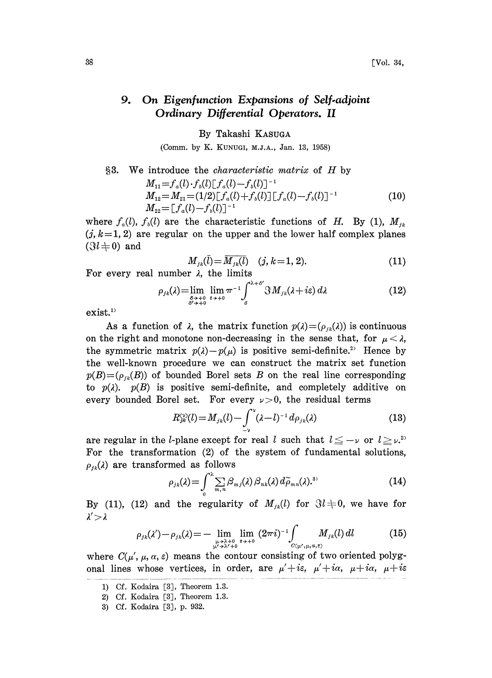## 9. On Eigenfunction Expansions of Self-adjoint Ordinary Differential Operators. II

By Takashi KASUGA

(Comm. by K. KUNUGI, M.J.A., Jan. 13, 1958)

§3. We introduce the *characteristic matrix* of *H* by  
\n
$$
M_{11} = f_a(l) \cdot f_b(l) [f_a(l) - f_b(l)]^{-1}
$$
\n
$$
M_{12} = M_{21} = (1/2) [f_a(l) + f_b(l)] [f_a(l) - f_b(l)]^{-1}
$$
\n
$$
M_{22} = [f_a(l) - f_b(l)]^{-1}
$$
\n(10)

where  $f_a(l)$ ,  $f_b(l)$  are the characteristic functions of H. By (1),  $M_{jk}$ <br>(i.e., 1.2) are parallel an the union and the large half counter planet  $(j, k=1, 2)$  are regular on the upper and the lower half complex planes  $(3l + 0)$  and

$$
M_{jk}(\bar{l}) = \overline{M_{jk}(l)} \quad (j, k = 1, 2). \tag{11}
$$

For every real number  $\lambda$ , the limits

$$
\rho_{jk}(\lambda) = \lim_{\substack{\delta \to +0 \\ \delta' \to +0}} \lim_{\epsilon \to +0} \pi^{-1} \int_{\delta}^{\lambda + \delta'} \Im M_{jk}(\lambda + i\epsilon) d\lambda \tag{12}
$$

 $exist.<sup>1</sup>$ 

As a function of  $\lambda$ , the matrix function  $p(\lambda)=(\rho_{jk}(\lambda))$  is continuous on the right and monotone non-decreasing in the sense that, for  $\mu < \lambda$ , the symmetric matrix  $p(\lambda) - p(\mu)$  is positive semi-definite.<sup>2)</sup> Hence by the well-known procedure we can construct the matrix set function  $p(B) = (p_{jk}(B))$  of bounded Borel sets B on the real line corresponding to  $p(\lambda)$ .  $p(B)$  is positive semi-definite, and completely additive on every bounded Borel set. For every  $\nu > 0$ , the residual terms

$$
R_{jk}^{\text{cyl}}(l) = M_{jk}(l) - \int_{-\nu}^{\nu} (\lambda - l)^{-1} \, d\rho_{jk}(\lambda) \tag{13}
$$

are regular in the *l*-plane except for real *l* such that  $l \leq -\nu$  or  $l \geq \nu$ . For the transformation (2) of the system of fundamental solutions,  $\rho_{ik}(\lambda)$  are transformed as follows

$$
\rho_{jk}(\lambda) = \int_0^\lambda \sum_{m,n} \beta_{m,j}(\lambda) \, \beta_{nk}(\lambda) \, d\widetilde{\rho}_{mn}(\lambda).^\text{3}
$$
\n<sup>(14)</sup>

By (11), (12) and the regularity of  $M_{ik}(l)$  for  $\Im l + 0$ , we have for  $\lambda' > \lambda$ 

$$
\rho_{jk}(\lambda') - \rho_{jk}(\lambda) = - \lim_{\substack{\mu \to \lambda + 0 \\ \mu' \to \lambda' + 0}} \lim_{\varepsilon \to + 0} (2\pi i)^{-1} \int_{C(\mu',\mu,a,\varepsilon)} M_{jk}(l) dl \tag{15}
$$

where  $C(\mu', \mu, \alpha, \varepsilon)$  means the contour consisting of two oriented polygonal lines whose vertices, in order, are  $\mu' + i\varepsilon$ ,  $\mu' + i\alpha$ ,  $\mu + i\alpha$ ,  $\mu + i\varepsilon$ 

<sup>1)</sup> Cf. Kodaira [3J, Theorem 1.3.

<sup>2)</sup> Cf. Kodaira [3J, Theorem 1.3.

<sup>3)</sup> Cf. Kodaira [3J, p. 932.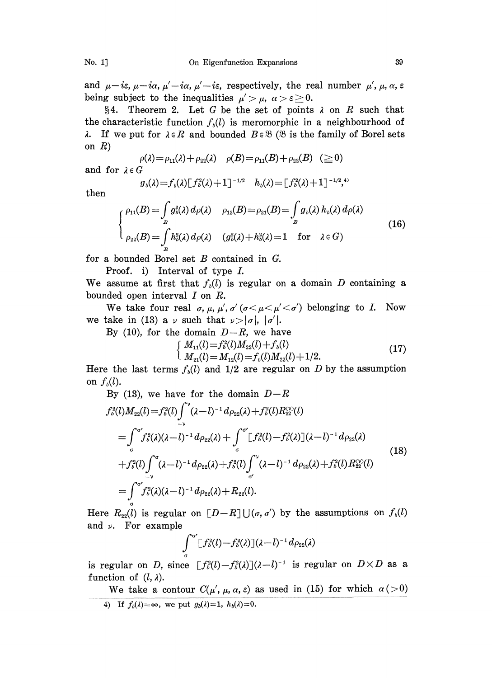and  $\mu - i\varepsilon$ ,  $\mu - i\alpha$ ,  $\mu' - i\alpha$ ,  $\mu' - i\varepsilon$ , respectively, the real number  $\mu'$ ,  $\mu$ ,  $\alpha$ ,  $\varepsilon$ being subject to the inequalities  $\mu' > \mu$ ,  $\alpha > \epsilon \geq 0$ .

§4. Theorem 2. Let G be the set of points  $\lambda$  on R such that the characteristic function  $f<sub>i</sub>(l)$  is meromorphic in a neighbourhood of  $\lambda$ . If we put for  $\lambda \in R$  and bounded  $B \in \mathcal{B}$  ( $\mathcal{B}$  is the family of Borel sets on  $R$ )

$$
\rho(\lambda) = \rho_{11}(\lambda) + \rho_{22}(\lambda) \quad \rho(B) = \rho_{11}(B) + \rho_{22}(B) \quad (\ge 0)
$$
  
  $\in G$ 

and for  $\lambda \in$ 

$$
g_{\iota}(\lambda) = f_{\iota}(\lambda) \left[ f_{\iota}^2(\lambda) + 1 \right]^{-1/2} \quad h_{\iota}(\lambda) = \left[ f_{\iota}^2(\lambda) + 1 \right]^{-1/2} \stackrel{\mathfrak{a}}{\rightarrow} \mathfrak{b}
$$

then

$$
\begin{cases}\n\rho_{11}(B) = \int_{B} g_{\delta}^{2}(\lambda) d\rho(\lambda) & \rho_{12}(B) = \rho_{21}(B) = \int_{B} g_{\delta}(\lambda) h_{\delta}(\lambda) d\rho(\lambda) \\
\rho_{22}(B) = \int_{B} h_{\delta}^{2}(\lambda) d\rho(\lambda) & (g_{\delta}^{2}(\lambda) + h_{\delta}^{2}(\lambda)) = 1 \quad \text{for} \quad \lambda \in G\n\end{cases}
$$
\n(16)

for <sup>a</sup> bounded Borel set B contained in G.

Proof. i) Interval of type L

We assume at first that  $f<sub>b</sub>(l)$  is regular on a domain D containing a bounded open interval I on R.

We take four real  $\sigma$ ,  $\mu$ ,  $\mu'$ ,  $\sigma'$  ( $\sigma < \mu < \mu' < \sigma'$ ) belonging to *I*. Now we take in (13) a  $\nu$  such that  $\nu > |\sigma|, |\sigma'|$ .

By (10), for the domain  $D-R$ , we have<br>  $\left\{ M_{11}(l) = f_0^2(l)M_{22}(l) + f_0(l) \right\}$ 

$$
\begin{cases}\nM_{11}(l) = f_b^2(l)M_{22}(l) + f_b(l) \\
M_{21}(l) = M_{12}(l) = f_b(l)M_{22}(l) + 1/2.\n\end{cases}
$$
\n(17)

Here the last terms  $f<sub>b</sub>(l)$  and 1/2 are regular on D by the assumption on  $f_b(l)$ .

By (13), we have for the domain 
$$
D-R
$$
  
\n
$$
f_o^2(l)M_{22}(l) = f_o^2(l)\int_{-\nu}^{\nu} (\lambda - l)^{-1} d\rho_{22}(\lambda) + f_o^2(l)R_{22}^{\nu\vee}(l)
$$
\n
$$
= \int_{\sigma}^{\sigma'} f_o^2(\lambda)(\lambda - l)^{-1} d\rho_{22}(\lambda) + \int_{\sigma}^{\sigma'} [f_o^2(l) - f_o^2(\lambda)](\lambda - l)^{-1} d\rho_{22}(\lambda)
$$
\n
$$
+ f_o^2(l)\int_{-\nu}^{\sigma} (\lambda - l)^{-1} d\rho_{22}(\lambda) + f_o^2(l)\int_{\sigma'}^{\nu} (\lambda - l)^{-1} d\rho_{22}(\lambda) + f_o^2(l)R_{22}^{\nu\vee}(l)
$$
\n
$$
= \int_{\sigma}^{\sigma'} f_o^2(\lambda)(\lambda - l)^{-1} d\rho_{22}(\lambda) + R_{22}(l).
$$
\n(18)

Here  $R_{22}(l)$  is regular on  $[D-R] \cup (\sigma, \sigma')$  by the assumptions on  $f_0(l)$ Here  $R_{22}(l)$  is regula<br>and  $\nu$ . For example

$$
\int\limits_{\sigma}^{\sigma'}\!\! \big[f_{b}^{2}(l)\!-\!f_{b}^{2}(\lambda)\big](\lambda\!-\!l)^{-1}\,d\rho_{22}(\lambda)
$$

is regular on D, since  $[f_o^2(l)-f_o^2(\lambda)](\lambda-l)^{-1}$  is regular on  $D\times D$  as a function of  $(l, \lambda)$ . function of  $(l, \lambda)$ .

We take a contour  $C(\mu', \mu, \alpha, \varepsilon)$  as used in (15) for which  $\alpha (>0)$ 4) If  $f_b(\lambda) = \infty$ , we put  $g_b(\lambda)=1$ ,  $h_b(\lambda)=0$ .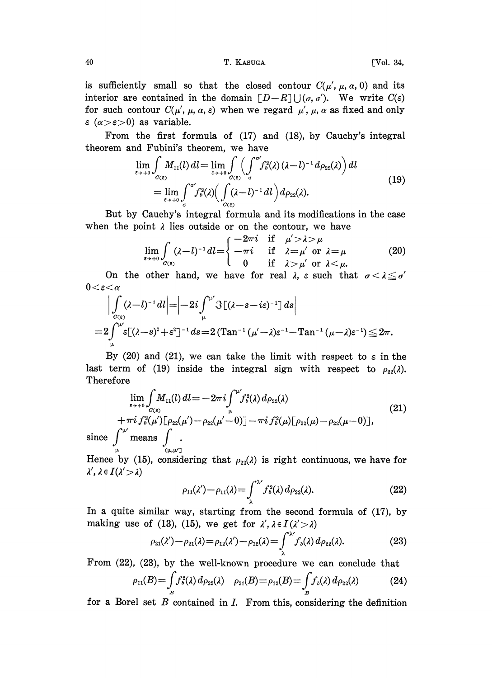40 T. KASUGA [Vol. 34,

is sufficiently small so that the closed contour  $C(\mu', \mu, \alpha, 0)$  and its interior are contained in the domain  $[D-R] \bigcup (\sigma, \sigma')$ . We write  $C(\varepsilon)$ for such contour  $C(\mu', \mu, \alpha, \varepsilon)$  when we regard  $\mu', \mu, \alpha$  as fixed and only  $\epsilon$  ( $\alpha > \epsilon > 0$ ) as variable.

From the first formula of (17) and (18), by Cauchy's integral theorem and Fubini's theorem, we have

$$
\lim_{\varepsilon \to +0} \int_{O(\varepsilon)} M_{11}(l) dl = \lim_{\varepsilon \to +0} \int_{O(\varepsilon)} \left( \int_{\sigma}^{\sigma'} f_{\delta}^2(\lambda) (\lambda - l)^{-1} d\rho_{22}(\lambda) \right) dl
$$
\n
$$
= \lim_{\varepsilon \to +0} \int_{\sigma}^{\sigma'} f_{\delta}^2(\lambda) \left( \int_{O(\varepsilon)} (\lambda - l)^{-1} dl \right) d\rho_{22}(\lambda).
$$
\n(19)

But by Cauchy's integral formula and its modifications in the case when the point  $\lambda$  lies outside or on the contour, we have

$$
\lim_{\varepsilon \to +0} \int_{C(\varepsilon)} (\lambda - l)^{-1} dl = \begin{cases} -2\pi i & \text{if } \mu' > \lambda > \mu \\ -\pi i & \text{if } \lambda = \mu' \text{ or } \lambda = \mu \\ 0 & \text{if } \lambda > \mu' \text{ or } \lambda < \mu. \end{cases}
$$
 (20)

On the other hand, we have for real  $\lambda$ ,  $\varepsilon$  such that  $\sigma < \lambda \leq \sigma'$  $0<\varepsilon<\alpha$ 

$$
\Big|\int_{\sigma(\varepsilon)} (\lambda - l)^{-1} dl \Big| = \Big|-2i \int_{\mu}^{\mu'} \Im[(\lambda - s - i\varepsilon)^{-1}] ds \Big|
$$
  
=  $2 \int_{\mu}^{\mu'} \varepsilon [(\lambda - s)^2 + \varepsilon^2]^{-1} ds = 2 (\text{Tan}^{-1} (\mu' - \lambda) \varepsilon^{-1} - \text{Tan}^{-1} (\mu - \lambda) \varepsilon^{-1}) \leq 2\pi.$ 

By (20) and (21), we can take the limit with respect to  $\varepsilon$  in the last term of (19) inside the integral sign with respect to  $\rho_{22}(\lambda)$ . herefore

$$
\lim_{\epsilon \to +0} \int_{O(\epsilon)} M_{11}(l) dl = -2\pi i \int_{\mu}^{\mu} f_{b}^{2}(\lambda) d\rho_{22}(\lambda)
$$
\n
$$
+\pi i f_{b}^{2}(\mu')[\rho_{22}(\mu') - \rho_{22}(\mu'-0)] - \pi i f_{b}^{2}(\mu)[\rho_{22}(\mu) - \rho_{22}(\mu-0)],
$$
\n
$$
\text{since } \int_{\mu}^{\mu'} \text{means} \int_{(\mu,\mu')}.
$$
\n(21)

Hence by (15), considering that  $\rho_{22}(\lambda)$  is right continuous, we have for  $\lambda', \lambda \in I(\lambda' > \lambda)$ 

$$
\rho_{11}(\lambda') - \rho_{11}(\lambda) = \int_{\lambda}^{\lambda'} f_{\delta}^2(\lambda) d\rho_{22}(\lambda). \tag{22}
$$

In a quite similar way, starting from the second formula of (17), by making use of (13), (15), we get for  $\lambda'$ ,  $\lambda \in I(\lambda' > \lambda)$ 

$$
\rho_{21}(\lambda') - \rho_{21}(\lambda) = \rho_{12}(\lambda') - \rho_{12}(\lambda) = \int_{\lambda}^{\lambda'} f_{\delta}(\lambda) d\rho_{22}(\lambda). \tag{23}
$$

From (22), (23), by the well-known procedure we can conclude that

$$
\rho_{11}(B) = \int_B f_o^2(\lambda) \, d\rho_{22}(\lambda) \quad \rho_{21}(B) = \rho_{12}(B) = \int_B f_o(\lambda) \, d\rho_{22}(\lambda) \tag{24}
$$

for a Borel set  $B$  contained in  $I$ . From this, considering the definition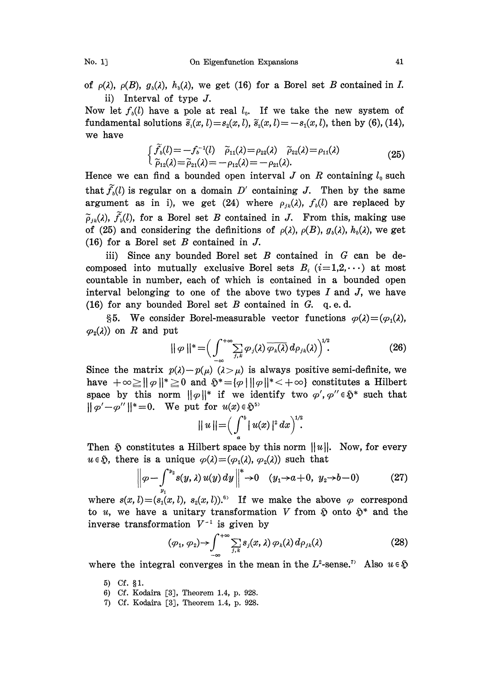of  $\rho(\lambda)$ ,  $\rho(B)$ ,  $g_b(\lambda)$ ,  $h_b(\lambda)$ , we get (16) for a Borel set B contained in I. ii) Interval of type J.

Now let  $f_0(l)$  have a pole at real  $l_0$ . If we take the new system of fundamental solutions  $\tilde{s}_i(x, l) = s_i(x, l), \tilde{s}_i(x, l) = -s_i(x, l),$  then by (6), (14), we have

$$
\begin{cases}\n\widetilde{f}_b(l) = -f_b^{-1}(l) & \widetilde{\rho}_{11}(\lambda) = \rho_{22}(\lambda) & \widetilde{\rho}_{22}(\lambda) = \rho_{11}(\lambda) \\
\widetilde{\rho}_{12}(\lambda) = \widetilde{\rho}_{21}(\lambda) = -\rho_{12}(\lambda) = -\rho_{21}(\lambda).\n\end{cases}
$$
\n(25)

Hence we can find a bounded open interval  $J$  on  $R$  containing  $l_0$  such that  $\widetilde{f}_n(l)$  is regular on a domain D' containing J. Then by the same argument as in i), we get (24) where  $\rho_{ik}(\lambda)$ ,  $f_{i}(l)$  are replaced by  $\tilde{\rho}_{ik}(\lambda)$ ,  $\tilde{f}_{ik}(\lambda)$ , for a Borel set B contained in J. From this, making use of (25) and considering the definitions of  $\rho(\lambda)$ ,  $\rho(B)$ ,  $g_{\delta}(\lambda)$ ,  $h_{\delta}(\lambda)$ , we get (16) for a Borel set  $B$  contained in  $J$ .

iii) Since any bounded Borel set  $B$  contained in  $G$  can be decomposed into mutually exclusive Borel sets  $B_i$  ( $i=1,2,\cdots$ ) at most countable in number, each of which is contained in a bounded open interval belonging to one of the above two types  $I$  and  $J$ , we have (16) for any bounded Borel set  $B$  contained in  $G$ . q.e.d.

§5. We consider Borel-measurable vector functions  $\varphi(\lambda)=(\varphi_1(\lambda),$  $\varphi_2(\lambda)$  on R and put

$$
\|\varphi\|^* = \left(\int_{-\infty}^{+\infty} \sum_{j,k} \varphi_j(\lambda) \overline{\varphi_k(\lambda)} d\rho_{jk}(\lambda)\right)^{1/2}.
$$
 (26)

Since the matrix  $p(\lambda)-p(\mu)$   $(\lambda > \mu)$  is always positive semi-definite, we have  $+\infty \ge ||\varphi||^* \ge 0$  and  $\mathfrak{H}^* = \{ \varphi \mid ||\varphi||^* < +\infty \}$  constitutes a Hilbert space by this norm  $\|\varphi\|^*$  if we identify two  $\varphi', \varphi'' \in \mathfrak{H}^*$  such that  $\|\varphi'-\varphi''\|^* = 0$ . We put for  $u(x) \in \mathfrak{H}^5$ 

$$
||u|| = \Big(\int_a^b |u(x)|^2 dx\Big)^{1/2}.
$$

Then  $\delta$  constitutes a Hilbert space by this norm  $||u||$ . Now, for every  $u \in \mathfrak{H}$ , there is a unique  $\varphi(\lambda)=(\varphi_1(\lambda), \varphi_2(\lambda))$  such that

$$
\left\|\varphi - \int_{y_1}^{y_2} s(y, \lambda) u(y) dy \right\|^* \to 0 \quad (y_1 \to a+0, \ y_2 \to b-0)
$$
 (27)

where  $s(x, l) = (s_1(x, l), s_2(x, l))$ .<sup>53</sup> If we make the above  $\varphi$  correspond to *u*, we have a unitary transformation *V* from  $\tilde{v}$  onto  $\tilde{v}^*$  and the inverse transformation  $V^{-1}$  is given by

inverse transformation 
$$
V^{-1}
$$
 is given by  
\n
$$
(\varphi_1, \varphi_2) \rightarrow \int_{-\infty}^{+\infty} \sum_{j,k} s_j(x,\lambda) \varphi_k(\lambda) d\rho_{jk}(\lambda)
$$
\n(28)

where the integral converges in the mean in the  $L^2$ -sense.<sup>7</sup> Also  $u \in \mathfrak{H}$ 

- 5) Cf.  $§1$ .
- 6) Cf. Kodaira [3J, Theorem 1.4, p. 928.
- 7) Cf. Kodaira [3J, Theorem 1.4, p. 928.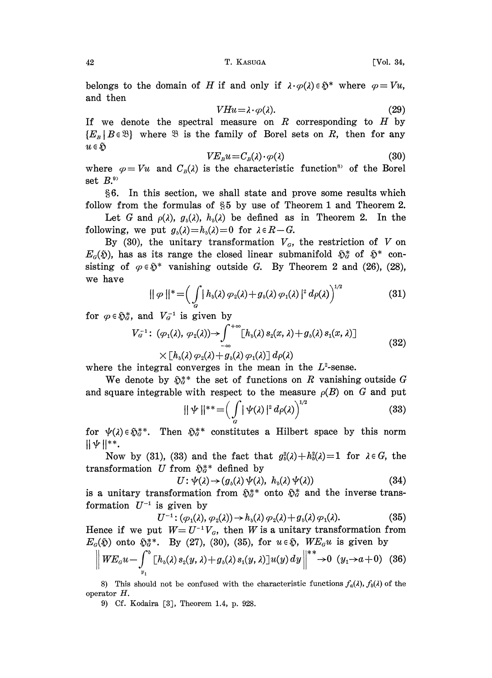belongs to the domain of H if and only if  $\lambda \cdot \varphi(\lambda) \in \mathfrak{H}^*$  where  $\varphi = Vu$ , and then

$$
VHu = \lambda \cdot \varphi(\lambda). \tag{29}
$$

If we denote the spectral measure on  $R$  corresponding to  $H$  by  ${E<sub>B</sub> | B \in \mathcal{B}}$  where  $\mathcal B$  is the family of Borel sets on R, then for any  $u \in \mathfrak{H}$ 

$$
VE_{B}u = C_{B}(\lambda) \cdot \varphi(\lambda) \tag{30}
$$

where  $\varphi=Vu$  and  $C_B(\lambda)$  is the characteristic function<sup>s</sup> of the Borel set  $B$ .<sup>9)</sup>

6. In this section, we shall state and prove some results which follow from the formulas of  $\S5$  by use of Theorem 1 and Theorem 2.

Let G and  $\rho(\lambda)$ ,  $g_{\delta}(\lambda)$ ,  $h_{\delta}(\lambda)$  be defined as in Theorem 2. In the following, we put  $g_b(\lambda)=h_b(\lambda)=0$  for  $\lambda \in R-G$ .

By (30), the unitary transformation  $V<sub>a</sub>$ , the restriction of V on  $E_{\alpha}(\mathfrak{H})$ , has as its range the closed linear submanifold  $\mathfrak{H}_{\alpha}^{*}$  of  $\mathfrak{H}^{*}$  con-<br>sisting of  $\alpha \in \mathfrak{H}^{*}$  vanishing outside G. By Theorem 2 and (26) (28) sisting of  $\varphi \in \mathfrak{H}^*$  vanishing outside G. By Theorem 2 and (26), (28), we have

$$
||\varphi||^* = \left(\int\limits_{G} |h_{\nu}(\lambda)\varphi_2(\lambda) + g_{\nu}(\lambda)\varphi_1(\lambda)|^2 d\rho(\lambda)\right)^{1/2}
$$
(31)

for  $\varphi \in \mathfrak{H}_{q}^{*}$ , and  $V_{q}^{-1}$  is given by

$$
V_G^{-1}: (\varphi_1(\lambda), \varphi_2(\lambda)) \to \int_{-\infty}^{+\infty} [h_b(\lambda) s_2(x, \lambda) + g_b(\lambda) s_1(x, \lambda)] \times [h_b(\lambda) \varphi_2(\lambda) + g_b(\lambda) \varphi_1(\lambda)] d\rho(\lambda)
$$
\n(32)

where the integral converges in the mean in the  $L^2$ -sense.

We denote by  $\tilde{\mathfrak{g}}_{q}^{**}$  the set of functions on R vanishing outside G and square integrable with respect to the measure  $\rho(B)$  on G and put

$$
\|\psi\|^{**} = \left(\int\limits_{G} |\psi(\lambda)|^2 d\rho(\lambda)\right)^{1/2} \tag{33}
$$

for  $\psi(\lambda) \in \mathfrak{H}_G^{**}$ . Then  $\mathfrak{H}_G^{**}$  constitutes a Hilbert space by this norm  $|| \psi ||^{**}.$ 

Now by (31), (33) and the fact that  $g_0^2(\lambda)+h_0^2(\lambda)=1$  for  $\lambda \in G$ , the transformation U from  $\tilde{\psi}_\sigma^*$  defined by<br> $U: \psi(\lambda) \rightarrow (g_\nu(\lambda) \psi(\lambda))$ 

$$
U: \psi(\lambda) \to (g_{\iota}(\lambda) \psi(\lambda), h_{\iota}(\lambda) \psi(\lambda)) \tag{34}
$$

is a unitary transformation from  $\tilde{\mathbb{D}}_q^{**}$  onto  $\tilde{\mathbb{D}}_q^*$  and the inverse transformation  $U^{-1}$  is given by<br> $U^{-1}$ :  $(\varphi_1(\lambda))$ 

$$
U^{-1}: (\varphi_1(\lambda), \varphi_2(\lambda)) \to h_b(\lambda) \varphi_2(\lambda) + g_b(\lambda) \varphi_1(\lambda).
$$
 (35)

Hence if we put  $W = U^{-1}V_a$ , then W is a unitary transformation from  $E_{\alpha}(\mathfrak{H})$  onto  $\mathfrak{H}_{\alpha}^{*}$ . By (27), (30), (35), for  $u \in \mathfrak{H}$ , W $E_{\alpha}u$  is given by

$$
\left\| WE_{\alpha} u - \int_{y_1}^b [h_b(\lambda) s_2(y, \lambda) + g_b(\lambda) s_1(y, \lambda)] u(y) dy \right\|^{**} \to 0 \quad (y_1 \to a+0) \quad (36)
$$

8) This should not be confused with the characteristic functions  $f_a(\lambda)$ ,  $f_b(\lambda)$  of the operator H.

9) Cf. Kodaira [3], Theorem 1.4, p. 928.